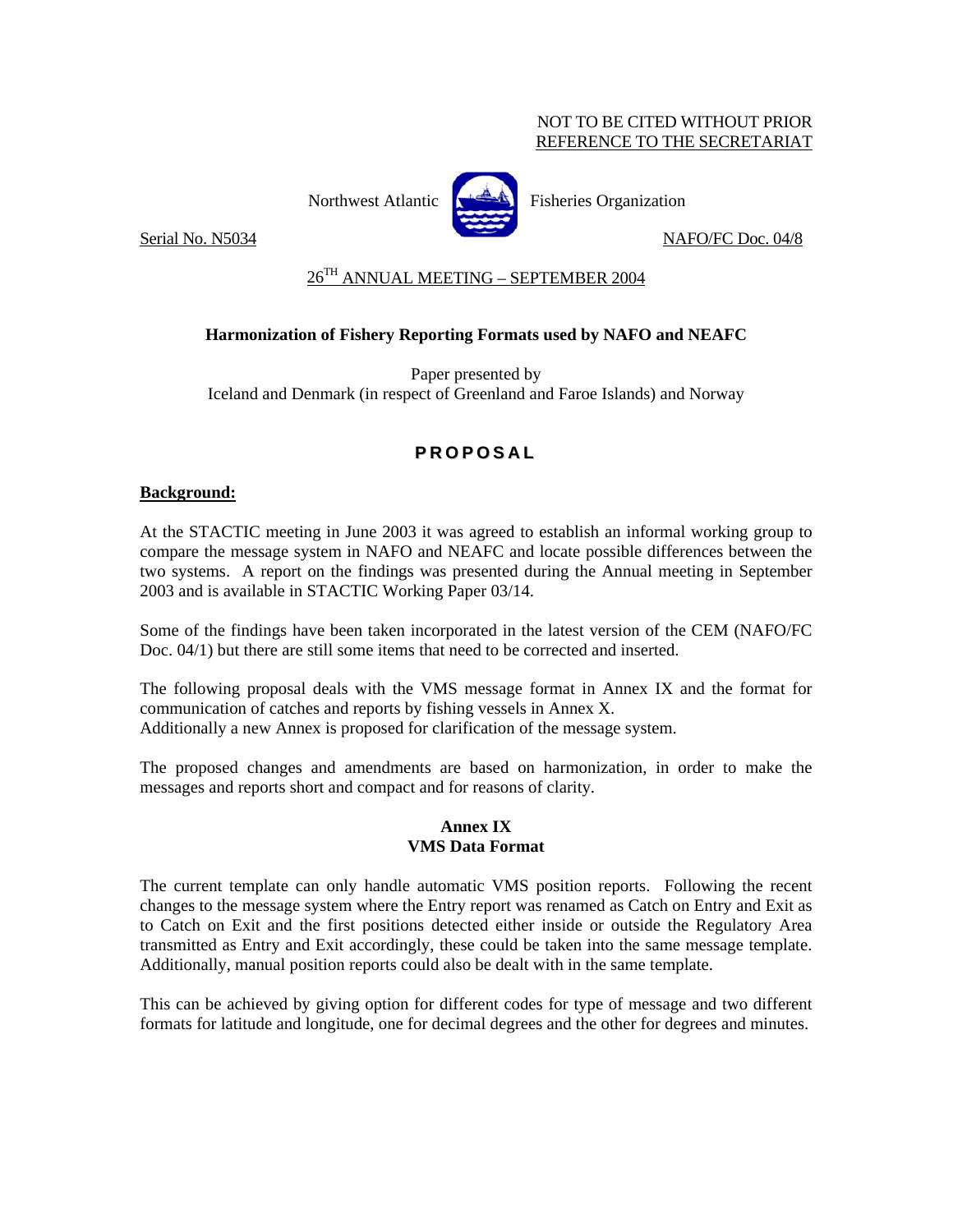# NOT TO BE CITED WITHOUT PRIOR REFERENCE TO THE SECRETARIAT



Northwest Atlantic  $\left[\begin{matrix} \frac{1}{2} & \frac{1}{2} \\ \frac{1}{2} & \frac{1}{2} \end{matrix}\right]$  Fisheries Organization

Serial No. N5034 NAFO/FC Doc. 04/8

# 26TH ANNUAL MEETING – SEPTEMBER 2004

# **Harmonization of Fishery Reporting Formats used by NAFO and NEAFC**

Paper presented by Iceland and Denmark (in respect of Greenland and Faroe Islands) and Norway

# **P R O P O S A L**

# **Background:**

At the STACTIC meeting in June 2003 it was agreed to establish an informal working group to compare the message system in NAFO and NEAFC and locate possible differences between the two systems. A report on the findings was presented during the Annual meeting in September 2003 and is available in STACTIC Working Paper 03/14.

Some of the findings have been taken incorporated in the latest version of the CEM (NAFO/FC Doc. 04/1) but there are still some items that need to be corrected and inserted.

The following proposal deals with the VMS message format in Annex IX and the format for communication of catches and reports by fishing vessels in Annex X. Additionally a new Annex is proposed for clarification of the message system.

The proposed changes and amendments are based on harmonization, in order to make the messages and reports short and compact and for reasons of clarity.

# **Annex IX VMS Data Format**

The current template can only handle automatic VMS position reports. Following the recent changes to the message system where the Entry report was renamed as Catch on Entry and Exit as to Catch on Exit and the first positions detected either inside or outside the Regulatory Area transmitted as Entry and Exit accordingly, these could be taken into the same message template. Additionally, manual position reports could also be dealt with in the same template.

This can be achieved by giving option for different codes for type of message and two different formats for latitude and longitude, one for decimal degrees and the other for degrees and minutes.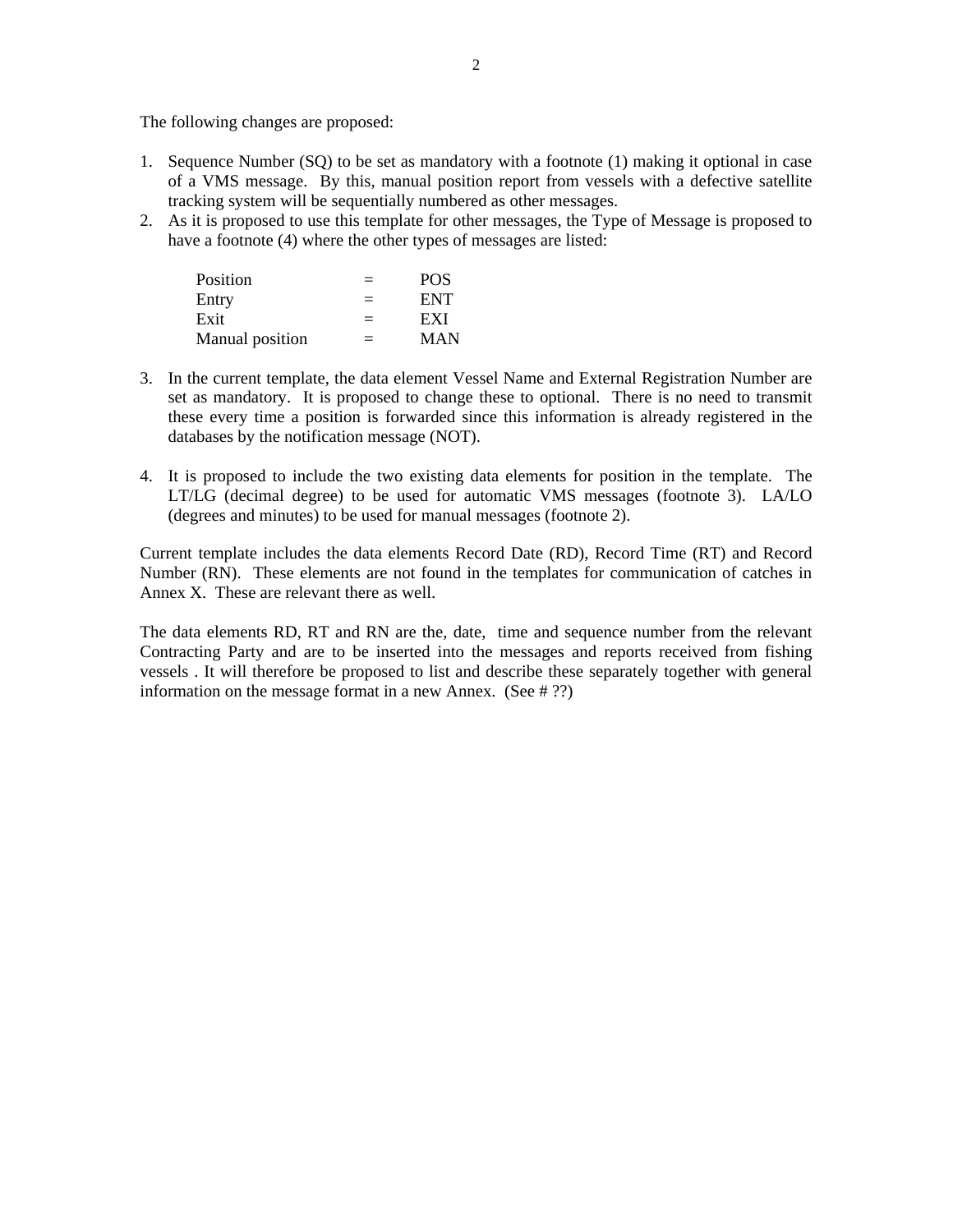The following changes are proposed:

- 1. Sequence Number (SQ) to be set as mandatory with a footnote (1) making it optional in case of a VMS message. By this, manual position report from vessels with a defective satellite tracking system will be sequentially numbered as other messages.
- 2. As it is proposed to use this template for other messages, the Type of Message is proposed to have a footnote (4) where the other types of messages are listed:

| Position        | <b>POS</b> |
|-----------------|------------|
| Entry           | <b>ENT</b> |
| Exit            | EXI        |
| Manual position | MAN        |

- 3. In the current template, the data element Vessel Name and External Registration Number are set as mandatory. It is proposed to change these to optional. There is no need to transmit these every time a position is forwarded since this information is already registered in the databases by the notification message (NOT).
- 4. It is proposed to include the two existing data elements for position in the template. The LT/LG (decimal degree) to be used for automatic VMS messages (footnote 3). LA/LO (degrees and minutes) to be used for manual messages (footnote 2).

Current template includes the data elements Record Date (RD), Record Time (RT) and Record Number (RN). These elements are not found in the templates for communication of catches in Annex X. These are relevant there as well.

The data elements RD, RT and RN are the, date, time and sequence number from the relevant Contracting Party and are to be inserted into the messages and reports received from fishing vessels . It will therefore be proposed to list and describe these separately together with general information on the message format in a new Annex. (See # ??)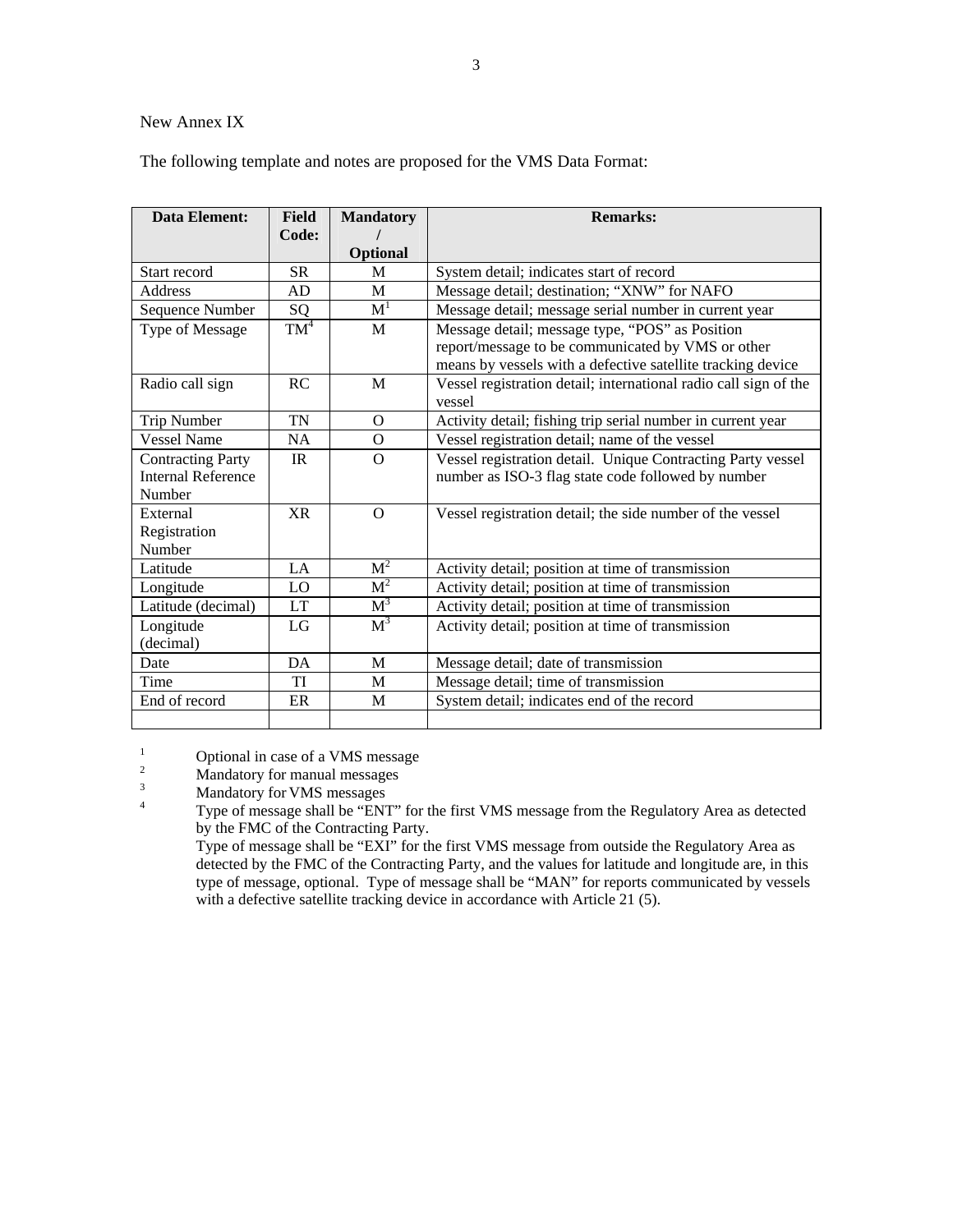#### New Annex IX

The following template and notes are proposed for the VMS Data Format:

| Data Element:                                         | <b>Field</b> | <b>Mandatory</b> | <b>Remarks:</b>                                                                                                  |
|-------------------------------------------------------|--------------|------------------|------------------------------------------------------------------------------------------------------------------|
|                                                       | Code:        | <b>Optional</b>  |                                                                                                                  |
| Start record                                          | <b>SR</b>    | M                | System detail; indicates start of record                                                                         |
| Address                                               | AD           | M                | Message detail; destination; "XNW" for NAFO                                                                      |
| Sequence Number                                       | SQ           | $\overline{M}^1$ | Message detail; message serial number in current year                                                            |
| Type of Message                                       | $TM^4$       | M                | Message detail; message type, "POS" as Position                                                                  |
|                                                       |              |                  | report/message to be communicated by VMS or other<br>means by vessels with a defective satellite tracking device |
| Radio call sign                                       | <b>RC</b>    | M                | Vessel registration detail; international radio call sign of the<br>vessel                                       |
| Trip Number                                           | <b>TN</b>    | $\Omega$         | Activity detail; fishing trip serial number in current year                                                      |
| <b>Vessel Name</b>                                    | <b>NA</b>    | O                | Vessel registration detail; name of the vessel                                                                   |
| <b>Contracting Party</b><br><b>Internal Reference</b> | IR           | $\Omega$         | Vessel registration detail. Unique Contracting Party vessel                                                      |
| Number                                                |              |                  | number as ISO-3 flag state code followed by number                                                               |
| External                                              | <b>XR</b>    | $\Omega$         | Vessel registration detail; the side number of the vessel                                                        |
| Registration                                          |              |                  |                                                                                                                  |
| Number                                                |              |                  |                                                                                                                  |
| Latitude                                              | LA.          | M <sup>2</sup>   | Activity detail; position at time of transmission                                                                |
| Longitude                                             | LO           | M <sup>2</sup>   | Activity detail; position at time of transmission                                                                |
| Latitude (decimal)                                    | <b>LT</b>    | $M^3$            | Activity detail; position at time of transmission                                                                |
| Longitude                                             | LG           | $M^3$            | Activity detail; position at time of transmission                                                                |
| (decimal)                                             |              |                  |                                                                                                                  |
| Date                                                  | DA           | M                | Message detail; date of transmission                                                                             |
| Time                                                  | TI           | M                | Message detail; time of transmission                                                                             |
| End of record                                         | ER           | M                | System detail; indicates end of the record                                                                       |
|                                                       |              |                  |                                                                                                                  |

1 Optional in case of a VMS message<br>
<sup>2</sup> Mandatory for manual messages<br>
<sup>3</sup> Mandatory for VMS messages<br>
<sup>4</sup> Type of message shall be "ENT" for the first VMS message from the Regulatory Area as detected by the FMC of the Contracting Party.

 Type of message shall be "EXI" for the first VMS message from outside the Regulatory Area as detected by the FMC of the Contracting Party, and the values for latitude and longitude are, in this type of message, optional. Type of message shall be "MAN" for reports communicated by vessels with a defective satellite tracking device in accordance with Article 21 (5).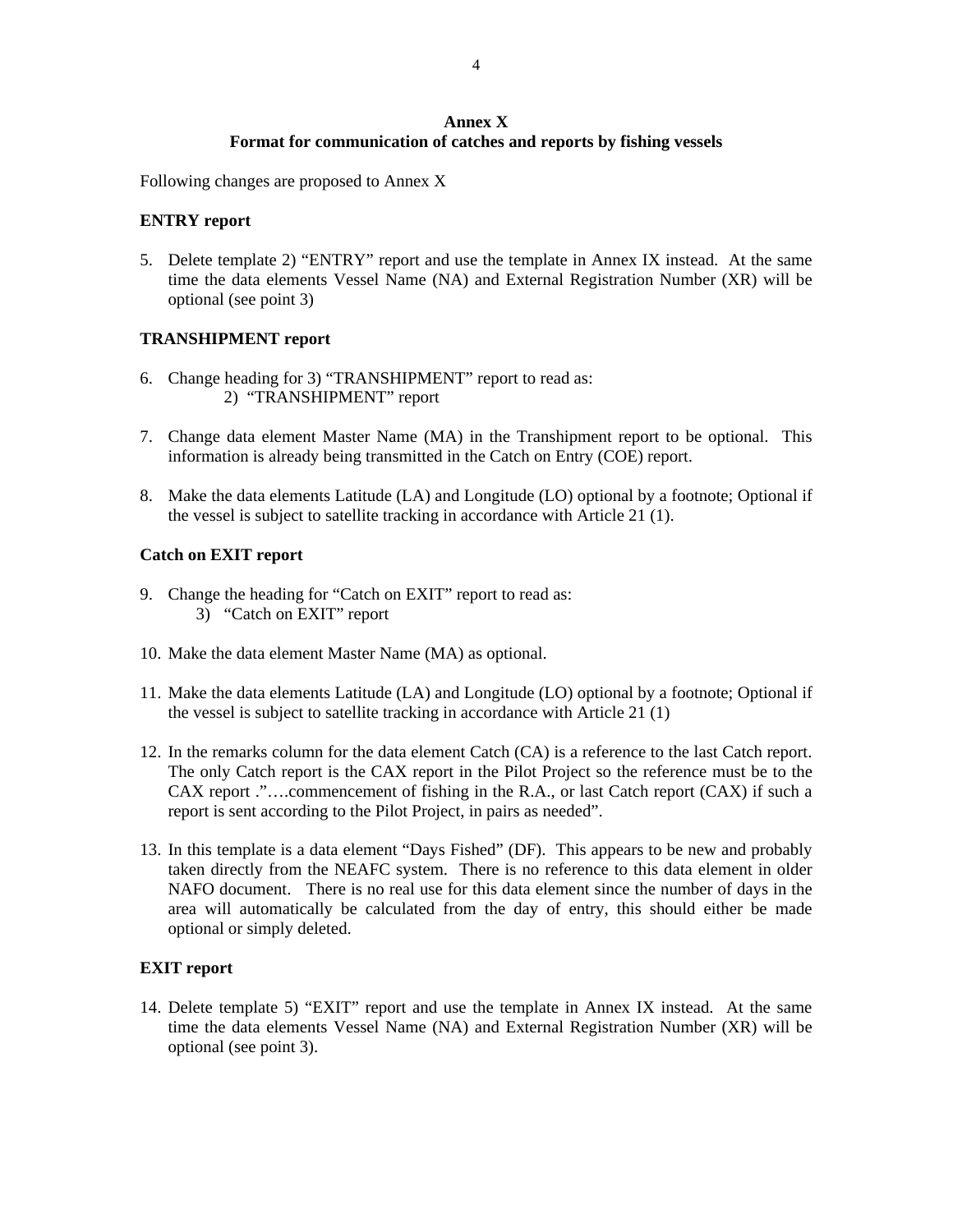#### **Annex X Format for communication of catches and reports by fishing vessels**

Following changes are proposed to Annex X

#### **ENTRY report**

5. Delete template 2) "ENTRY" report and use the template in Annex IX instead. At the same time the data elements Vessel Name (NA) and External Registration Number (XR) will be optional (see point 3)

# **TRANSHIPMENT report**

- 6. Change heading for 3) "TRANSHIPMENT" report to read as: 2) "TRANSHIPMENT" report
- 7. Change data element Master Name (MA) in the Transhipment report to be optional. This information is already being transmitted in the Catch on Entry (COE) report.
- 8. Make the data elements Latitude (LA) and Longitude (LO) optional by a footnote; Optional if the vessel is subject to satellite tracking in accordance with Article 21 (1).

# **Catch on EXIT report**

- 9. Change the heading for "Catch on EXIT" report to read as: 3) "Catch on EXIT" report
- 10. Make the data element Master Name (MA) as optional.
- 11. Make the data elements Latitude (LA) and Longitude (LO) optional by a footnote; Optional if the vessel is subject to satellite tracking in accordance with Article 21 (1)
- 12. In the remarks column for the data element Catch (CA) is a reference to the last Catch report. The only Catch report is the CAX report in the Pilot Project so the reference must be to the CAX report ."….commencement of fishing in the R.A., or last Catch report (CAX) if such a report is sent according to the Pilot Project, in pairs as needed".
- 13. In this template is a data element "Days Fished" (DF). This appears to be new and probably taken directly from the NEAFC system. There is no reference to this data element in older NAFO document. There is no real use for this data element since the number of days in the area will automatically be calculated from the day of entry, this should either be made optional or simply deleted.

#### **EXIT report**

14. Delete template 5) "EXIT" report and use the template in Annex IX instead. At the same time the data elements Vessel Name (NA) and External Registration Number (XR) will be optional (see point 3).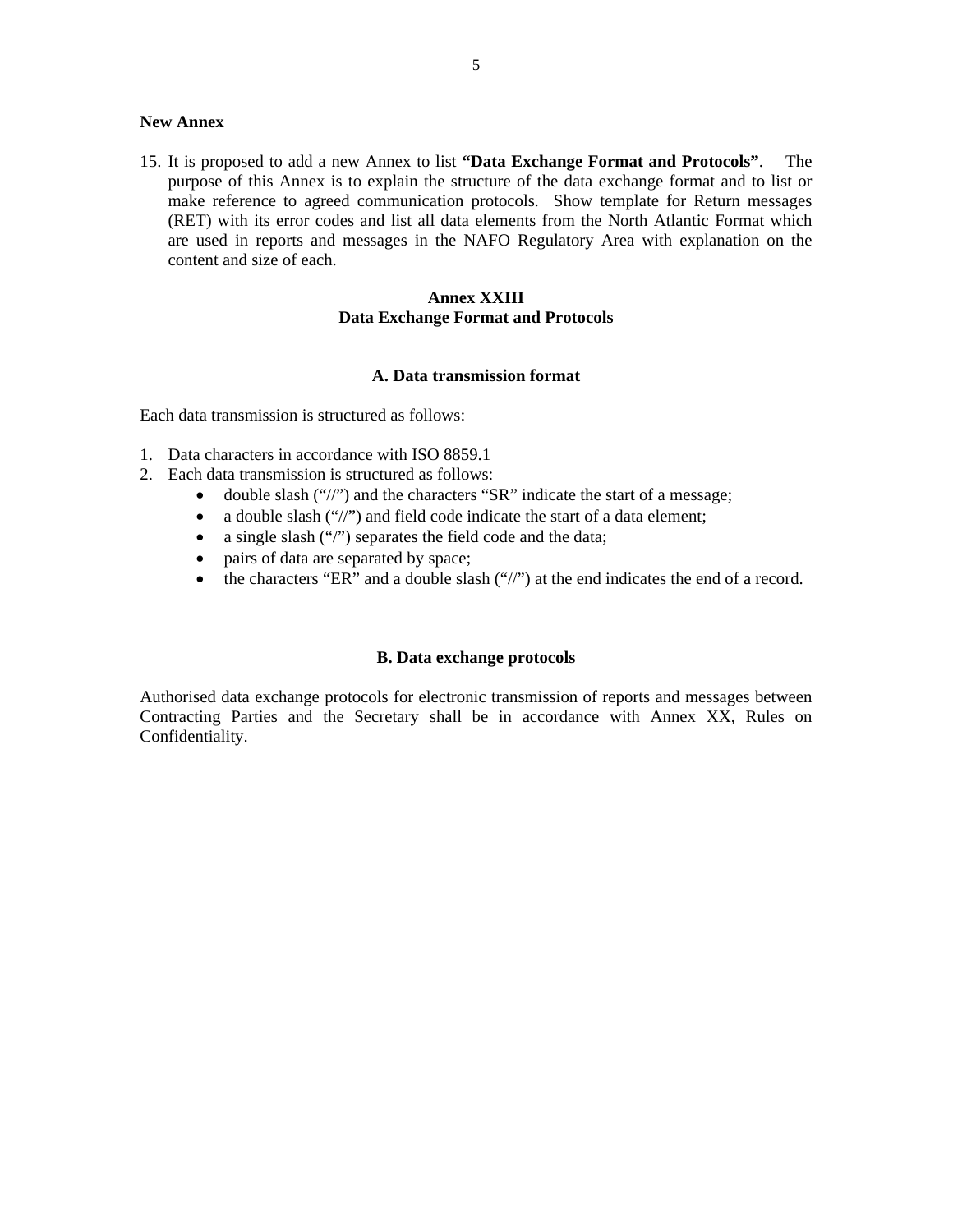#### **New Annex**

15. It is proposed to add a new Annex to list **"Data Exchange Format and Protocols"**. The purpose of this Annex is to explain the structure of the data exchange format and to list or make reference to agreed communication protocols. Show template for Return messages (RET) with its error codes and list all data elements from the North Atlantic Format which are used in reports and messages in the NAFO Regulatory Area with explanation on the content and size of each.

# **Annex XXIII Data Exchange Format and Protocols**

# **A. Data transmission format**

Each data transmission is structured as follows:

- 1. Data characters in accordance with ISO 8859.1
- 2. Each data transmission is structured as follows:
	- double slash ("/") and the characters "SR" indicate the start of a message;
	- a double slash ("/") and field code indicate the start of a data element;
	- a single slash ("/") separates the field code and the data;
	- pairs of data are separated by space;
	- the characters "ER" and a double slash ("//") at the end indicates the end of a record.

### **B. Data exchange protocols**

Authorised data exchange protocols for electronic transmission of reports and messages between Contracting Parties and the Secretary shall be in accordance with Annex XX, Rules on Confidentiality.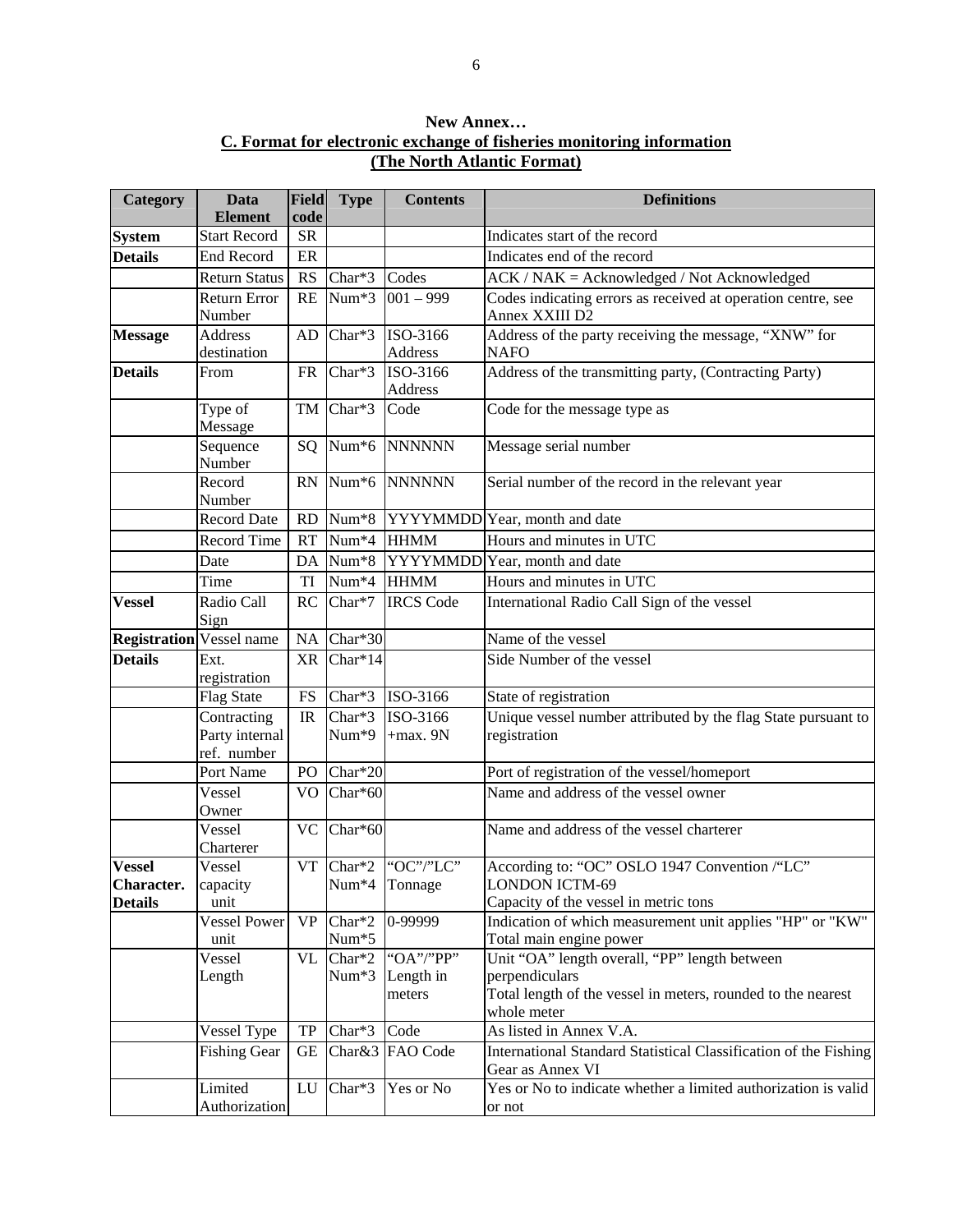# **New Annex… C. Format for electronic exchange of fisheries monitoring information (The North Atlantic Format)**

| Category                        | Data<br><b>Element</b>            | Field<br>code | <b>Type</b>                 | <b>Contents</b>     | <b>Definitions</b>                                                                   |
|---------------------------------|-----------------------------------|---------------|-----------------------------|---------------------|--------------------------------------------------------------------------------------|
| <b>System</b>                   | <b>Start Record</b>               | <b>SR</b>     |                             |                     | Indicates start of the record                                                        |
| <b>Details</b>                  | <b>End Record</b>                 | ER            |                             |                     | Indicates end of the record                                                          |
|                                 | <b>Return Status</b>              | RS            | $\overline{\text{Char}}^*3$ | Codes               | $ACK / NAK = Acknowledged / Not Acknowledged$                                        |
|                                 | <b>Return Error</b>               | RE            | Num*3                       | $001 - 999$         | Codes indicating errors as received at operation centre, see                         |
|                                 | Number                            |               |                             |                     | Annex XXIII D2                                                                       |
| <b>Message</b>                  | <b>Address</b>                    | AD            | Char*3                      | ISO-3166            | Address of the party receiving the message, "XNW" for                                |
|                                 | destination                       |               |                             | Address<br>ISO-3166 | <b>NAFO</b>                                                                          |
| <b>Details</b>                  | From                              | <b>FR</b>     | Char*3                      | Address             | Address of the transmitting party, (Contracting Party)                               |
|                                 | Type of                           |               | TM Char*3                   | Code                | Code for the message type as                                                         |
|                                 | Message                           |               |                             |                     |                                                                                      |
|                                 | Sequence                          |               | $SQ$ Num <sup>*6</sup>      | <b>NNNNNN</b>       | Message serial number                                                                |
|                                 | Number                            |               |                             |                     |                                                                                      |
|                                 | Record                            |               | $RN$ Num <sup>*6</sup>      | <b>NNNNNN</b>       | Serial number of the record in the relevant year                                     |
|                                 | Number                            |               |                             |                     |                                                                                      |
|                                 | <b>Record Date</b>                | <b>RD</b>     | $Num*8$                     |                     | YYYYMMDD Year, month and date                                                        |
|                                 | <b>Record Time</b>                | RT            | Num*4                       | <b>HHMM</b>         | Hours and minutes in UTC                                                             |
|                                 | Date                              | DA            | Num*8                       |                     | YYYYMMDD Year, month and date                                                        |
|                                 | Time                              | TI            | Num <sup>*4</sup>           | <b>HHMM</b>         | Hours and minutes in UTC                                                             |
| <b>Vessel</b>                   | Radio Call                        | RC            | Char*7                      | <b>IRCS Code</b>    | International Radio Call Sign of the vessel                                          |
|                                 | Sign                              |               |                             |                     |                                                                                      |
| <b>Registration Vessel name</b> |                                   |               | NA Char*30                  |                     | Name of the vessel                                                                   |
| <b>Details</b>                  | Ext.                              |               | $XR$ Char*14                |                     | Side Number of the vessel                                                            |
|                                 | registration<br><b>Flag State</b> | <b>FS</b>     | $Char*3$                    | ISO-3166            | State of registration                                                                |
|                                 | Contracting                       | IR            | Char*3                      | ISO-3166            | Unique vessel number attributed by the flag State pursuant to                        |
|                                 | Party internal                    |               | Num*9                       | $+$ max. $9N$       | registration                                                                         |
|                                 | ref. number                       |               |                             |                     |                                                                                      |
|                                 | Port Name                         | PO            | Char*20                     |                     | Port of registration of the vessel/homeport                                          |
|                                 | Vessel                            | VO.           | Char*60                     |                     | Name and address of the vessel owner                                                 |
|                                 | Owner                             |               |                             |                     |                                                                                      |
|                                 | Vessel                            | <b>VC</b>     | Char*60                     |                     | Name and address of the vessel charterer                                             |
|                                 | Charterer                         |               |                             |                     |                                                                                      |
| <b>Vessel</b>                   | Vessel                            |               |                             | VT Char*2 "OC"/"LC" | According to: "OC" OSLO 1947 Convention /"LC"<br><b>LONDON ICTM-69</b>               |
| Character.<br><b>Details</b>    | capacity<br>unit                  |               | Num*4 Tonnage               |                     | Capacity of the vessel in metric tons                                                |
|                                 | <b>Vessel Power</b>               | <b>VP</b>     | Char*2                      | 0-99999             | Indication of which measurement unit applies "HP" or "KW"                            |
|                                 | unit                              |               | $Num*5$                     |                     | Total main engine power                                                              |
|                                 | Vessel                            | VL            | Char*2                      | "OA"/"PP"           | Unit "OA" length overall, "PP" length between                                        |
|                                 | Length                            |               | Num*3                       | Length in           | perpendiculars                                                                       |
|                                 |                                   |               |                             | meters              | Total length of the vessel in meters, rounded to the nearest                         |
|                                 |                                   |               |                             |                     | whole meter                                                                          |
|                                 | Vessel Type                       | TP            | Char*3                      | Code                | As listed in Annex V.A.                                                              |
|                                 | <b>Fishing Gear</b>               | GE            |                             | Char&3 FAO Code     | International Standard Statistical Classification of the Fishing<br>Gear as Annex VI |
|                                 | Limited                           | LU            | Char*3                      | Yes or No           | Yes or No to indicate whether a limited authorization is valid                       |
|                                 | Authorization                     |               |                             |                     | or not                                                                               |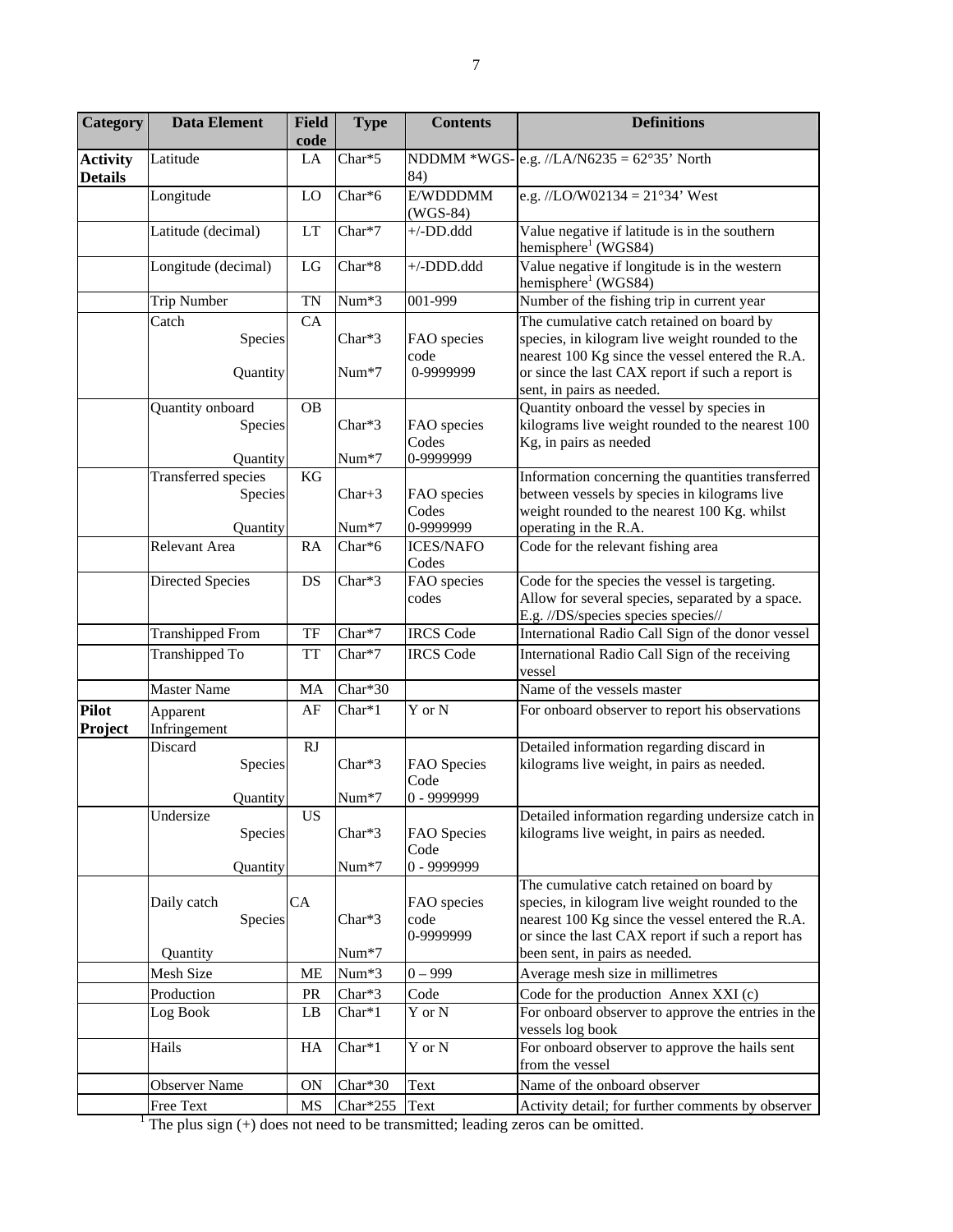| Category                          | <b>Data Element</b>                                                                | <b>Field</b><br>code | <b>Type</b>          | <b>Contents</b>                    | <b>Definitions</b>                                                                                                                                                                                                                |
|-----------------------------------|------------------------------------------------------------------------------------|----------------------|----------------------|------------------------------------|-----------------------------------------------------------------------------------------------------------------------------------------------------------------------------------------------------------------------------------|
| <b>Activity</b><br><b>Details</b> | Latitude                                                                           | LA                   | Char*5               | 84)                                | NDDMM *WGS- e.g. //LA/N6235 = $62^{\circ}35'$ North                                                                                                                                                                               |
|                                   | Longitude                                                                          | LO                   | Char*6               | E/WDDDMM<br>$(WGS-84)$             | e.g. //LO/W02134 = $21^{\circ}34'$ West                                                                                                                                                                                           |
|                                   | Latitude (decimal)                                                                 | LT                   | Char*7               | $+/-DD.ddd$                        | Value negative if latitude is in the southern<br>hemisphere <sup>1</sup> (WGS84)                                                                                                                                                  |
|                                   | Longitude (decimal)                                                                | LG                   | $Char*8$             | +/-DDD.ddd                         | Value negative if longitude is in the western<br>hemisphere <sup>1</sup> (WGS84)                                                                                                                                                  |
|                                   | <b>Trip Number</b>                                                                 | <b>TN</b>            | Num*3                | 001-999                            | Number of the fishing trip in current year                                                                                                                                                                                        |
|                                   | Catch<br>Species<br>Quantity                                                       | CA                   | Char*3<br>$Num*7$    | FAO species<br>code<br>0-9999999   | The cumulative catch retained on board by<br>species, in kilogram live weight rounded to the<br>nearest 100 Kg since the vessel entered the R.A.<br>or since the last CAX report if such a report is<br>sent, in pairs as needed. |
|                                   | Quantity onboard<br>Species<br>Quantity                                            | <b>OB</b>            | $Char*3$<br>Num*7    | FAO species<br>Codes<br>0-9999999  | Quantity onboard the vessel by species in<br>kilograms live weight rounded to the nearest 100<br>Kg, in pairs as needed                                                                                                           |
|                                   | <b>Transferred</b> species<br>Species<br>Quantity                                  | KG                   | $Char+3$<br>$Num*7$  | FAO species<br>Codes<br>0-9999999  | Information concerning the quantities transferred<br>between vessels by species in kilograms live<br>weight rounded to the nearest 100 Kg. whilst<br>operating in the R.A.                                                        |
|                                   | Relevant Area                                                                      | RA                   | Char*6               | <b>ICES/NAFO</b><br>Codes          | Code for the relevant fishing area                                                                                                                                                                                                |
|                                   | Directed Species                                                                   | DS                   | Char*3               | FAO species<br>codes               | Code for the species the vessel is targeting.<br>Allow for several species, separated by a space.<br>E.g. //DS/species species species//                                                                                          |
|                                   | <b>Transhipped From</b>                                                            | TF                   | Char*7               | <b>IRCS</b> Code                   | International Radio Call Sign of the donor vessel                                                                                                                                                                                 |
|                                   | Transhipped To                                                                     | <b>TT</b>            | Char*7               | <b>IRCS</b> Code                   | International Radio Call Sign of the receiving<br>vessel                                                                                                                                                                          |
|                                   | <b>Master Name</b>                                                                 | MA                   | Char*30              |                                    | Name of the vessels master                                                                                                                                                                                                        |
| Pilot<br>Project                  | Apparent<br>Infringement                                                           | AF                   | $Char*1$             | $\overline{Y}$ or N                | For onboard observer to report his observations                                                                                                                                                                                   |
|                                   | Discard<br>Species<br>Quantity                                                     | RJ                   | $Char*3$<br>Num*7    | FAO Species<br>Code<br>0 - 9999999 | Detailed information regarding discard in<br>kilograms live weight, in pairs as needed.                                                                                                                                           |
|                                   | Undersize<br>Species<br>Quantity                                                   | US                   | Char*3<br>Num*7      | FAO Species<br>Code<br>0 - 9999999 | Detailed information regarding undersize catch in<br>kilograms live weight, in pairs as needed.                                                                                                                                   |
|                                   | Daily catch<br>Species                                                             | CA                   | $Char*3$             | FAO species<br>code<br>0-9999999   | The cumulative catch retained on board by<br>species, in kilogram live weight rounded to the<br>nearest 100 Kg since the vessel entered the R.A.<br>or since the last CAX report if such a report has                             |
|                                   | Quantity                                                                           |                      | Num*7                |                                    | been sent, in pairs as needed.                                                                                                                                                                                                    |
|                                   | Mesh Size                                                                          | ME                   | Num*3                | $0 - 999$                          | Average mesh size in millimetres                                                                                                                                                                                                  |
|                                   | Production                                                                         | <b>PR</b>            | $Char*3$             | Code                               | Code for the production Annex XXI (c)                                                                                                                                                                                             |
|                                   | Log Book<br>Hails                                                                  | LB<br>HA             | $Char*1$<br>$Char*1$ | Y or N<br>Y or N                   | For onboard observer to approve the entries in the<br>vessels log book<br>For onboard observer to approve the hails sent                                                                                                          |
|                                   |                                                                                    |                      | Char*30              | Text                               | from the vessel<br>Name of the onboard observer                                                                                                                                                                                   |
|                                   | <b>Observer Name</b><br>Free Text                                                  | <b>ON</b><br>MS      | $Char*255$           | Text                               | Activity detail; for further comments by observer                                                                                                                                                                                 |
|                                   | The plus sign $(+)$ does not need to be transmitted; leading zeros can be omitted. |                      |                      |                                    |                                                                                                                                                                                                                                   |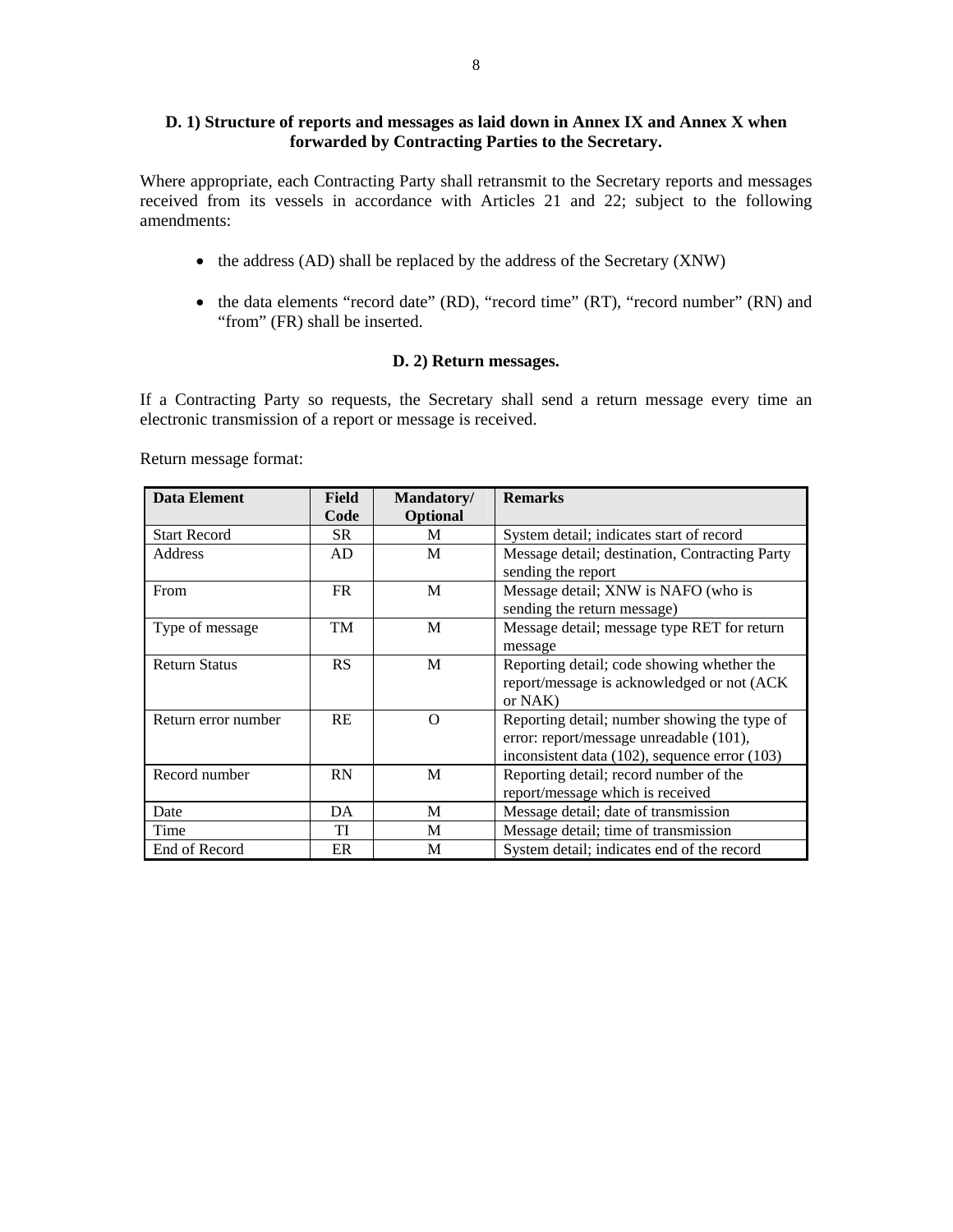# **D. 1) Structure of reports and messages as laid down in Annex IX and Annex X when forwarded by Contracting Parties to the Secretary.**

Where appropriate, each Contracting Party shall retransmit to the Secretary reports and messages received from its vessels in accordance with Articles 21 and 22; subject to the following amendments:

- the address (AD) shall be replaced by the address of the Secretary (XNW)
- the data elements "record date" (RD), "record time" (RT), "record number" (RN) and "from" (FR) shall be inserted.

# **D. 2) Return messages.**

If a Contracting Party so requests, the Secretary shall send a return message every time an electronic transmission of a report or message is received.

**Data Element** Field **Code Mandatory/ Optional Remarks**  Start Record SR M System detail; indicates start of record Address  $\begin{vmatrix} AD \end{vmatrix}$  M  $\begin{vmatrix} Message \ detail; destination, Contracting Party \end{vmatrix}$ sending the report From FR M Message detail; XNW is NAFO (who is sending the return message) Type of message TM M Message detail; message type RET for return message Return Status RS | RS | M Reporting detail; code showing whether the report/message is acknowledged or not (ACK or NAK) Return error number RE O Reporting detail; number showing the type of error: report/message unreadable (101), inconsistent data (102), sequence error (103) Record number RN M Reporting detail; record number of the report/message which is received Date **DA** M Message detail; date of transmission Time TI M Message detail; time of transmission End of Record ER M System detail; indicates end of the record

Return message format: